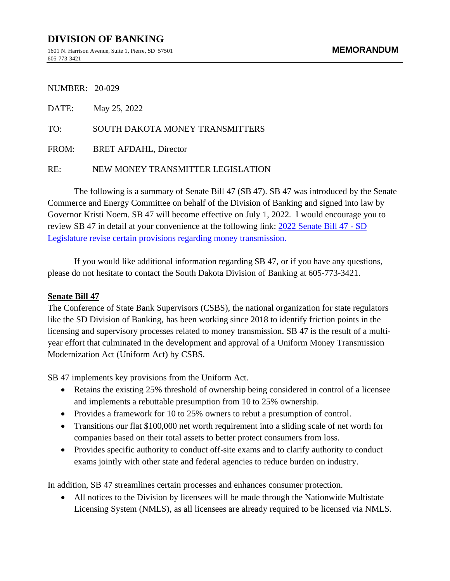## **DIVISION OF BANKING**

1601 N. Harrison Avenue, Suite 1, Pierre, SD 57501 **MEMORANDUM** 605-773-3421

NUMBER: 20-029

| DATE: | May 25, 2022                      |
|-------|-----------------------------------|
| TO:   | SOUTH DAKOTA MONEY TRANSMITTERS   |
|       | FROM: BRET AFDAHL, Director       |
| RE:   | NEW MONEY TRANSMITTER LEGISLATION |

The following is a summary of Senate Bill 47 (SB 47). SB 47 was introduced by the Senate Commerce and Energy Committee on behalf of the Division of Banking and signed into law by Governor Kristi Noem. SB 47 will become effective on July 1, 2022. I would encourage you to review SB 47 in detail at your convenience at the following link: [2022 Senate Bill 47 -](https://mylrc.sdlegislature.gov/api/Documents/231030.pdf) SD [Legislature revise certain provisions regarding money transmission.](https://mylrc.sdlegislature.gov/api/Documents/231030.pdf)

If you would like additional information regarding SB 47, or if you have any questions, please do not hesitate to contact the South Dakota Division of Banking at 605-773-3421.

## **Senate Bill 47**

The Conference of State Bank Supervisors (CSBS), the national organization for state regulators like the SD Division of Banking, has been working since 2018 to identify friction points in the licensing and supervisory processes related to money transmission. SB 47 is the result of a multiyear effort that culminated in the development and approval of a Uniform Money Transmission Modernization Act (Uniform Act) by CSBS.

SB 47 implements key provisions from the Uniform Act.

- Retains the existing 25% threshold of ownership being considered in control of a licensee and implements a rebuttable presumption from 10 to 25% ownership.
- Provides a framework for 10 to 25% owners to rebut a presumption of control.
- Transitions our flat \$100,000 net worth requirement into a sliding scale of net worth for companies based on their total assets to better protect consumers from loss.
- Provides specific authority to conduct off-site exams and to clarify authority to conduct exams jointly with other state and federal agencies to reduce burden on industry.

In addition, SB 47 streamlines certain processes and enhances consumer protection.

• All notices to the Division by licensees will be made through the Nationwide Multistate Licensing System (NMLS), as all licensees are already required to be licensed via NMLS.